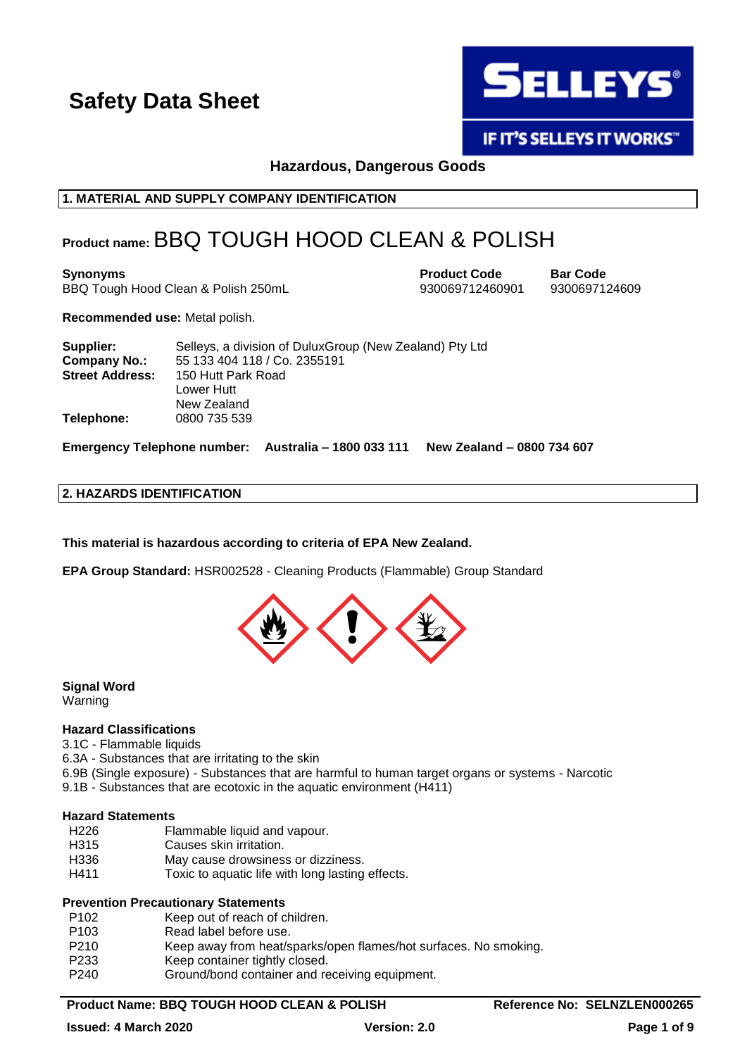

**IF IT'S SELLEYS IT WORKS"** 

**Hazardous, Dangerous Goods**

**1. MATERIAL AND SUPPLY COMPANY IDENTIFICATION**

### **Product name:** BBQ TOUGH HOOD CLEAN & POLISH

**Synonyms Product Code Bar Code** BBQ Tough Hood Clean & Polish 250mL 930069712460901 9300697124609

**Recommended use:** Metal polish.

| Supplier:              | Selleys, a division of DuluxGroup (New Zealand) Pty Ltd |
|------------------------|---------------------------------------------------------|
| <b>Company No.:</b>    | 55 133 404 118 / Co. 2355191                            |
| <b>Street Address:</b> | 150 Hutt Park Road                                      |
|                        | Lower Hutt                                              |
|                        | New Zealand                                             |
| Telephone:             | 0800 735 539                                            |

**Emergency Telephone number: Australia – 1800 033 111 New Zealand – 0800 734 607**

### **2. HAZARDS IDENTIFICATION**

**This material is hazardous according to criteria of EPA New Zealand.**

**EPA Group Standard:** HSR002528 - Cleaning Products (Flammable) Group Standard



**Signal Word** Warning

#### **Hazard Classifications**

3.1C - Flammable liquids

- 6.3A Substances that are irritating to the skin
- 6.9B (Single exposure) Substances that are harmful to human target organs or systems Narcotic 9.1B - Substances that are ecotoxic in the aquatic environment (H411)

#### **Hazard Statements**

- H226 Flammable liquid and vapour.
- H315 Causes skin irritation.
- H336 May cause drowsiness or dizziness.
- H411 Toxic to aquatic life with long lasting effects.

#### **Prevention Precautionary Statements**

- P102 Keep out of reach of children.<br>P103 Read label before use.
- Read label before use.
- P210 Keep away from heat/sparks/open flames/hot surfaces. No smoking.
- P233 Keep container tightly closed.
- P240 Ground/bond container and receiving equipment.

#### **Product Name: BBQ TOUGH HOOD CLEAN & POLISH Reference No: SELNZLEN000265**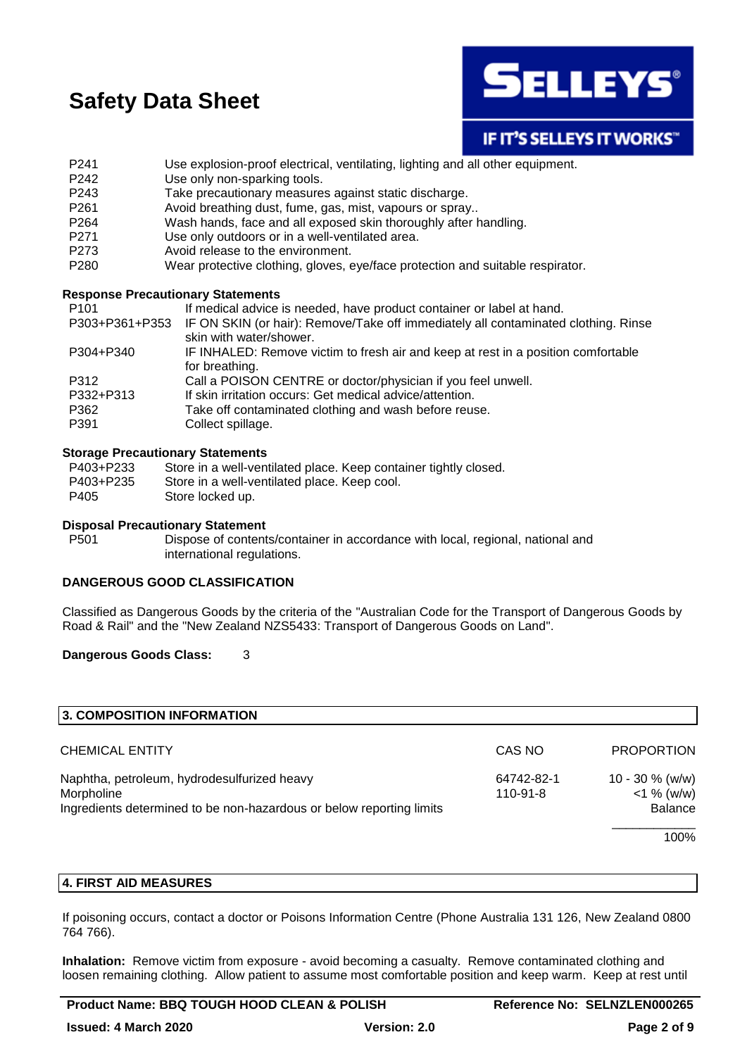

### IF IT'S SELLEYS IT WORKS"

- P241 Use explosion-proof electrical, ventilating, lighting and all other equipment.
- P242 Use only non-sparking tools.
- P243 Take precautionary measures against static discharge.
- P261 Avoid breathing dust, fume, gas, mist, vapours or spray..
- P264 Wash hands, face and all exposed skin thoroughly after handling.
- P271 Use only outdoors or in a well-ventilated area.
- P273 Avoid release to the environment.
- P280 Wear protective clothing, gloves, eye/face protection and suitable respirator.

#### **Response Precautionary Statements**

| P <sub>101</sub> | If medical advice is needed, have product container or label at hand.                                         |
|------------------|---------------------------------------------------------------------------------------------------------------|
| P303+P361+P353   | IF ON SKIN (or hair): Remove/Take off immediately all contaminated clothing. Rinse<br>skin with water/shower. |
| P304+P340        | IF INHALED: Remove victim to fresh air and keep at rest in a position comfortable<br>for breathing.           |
| P312             | Call a POISON CENTRE or doctor/physician if you feel unwell.                                                  |
| P332+P313        | If skin irritation occurs: Get medical advice/attention.                                                      |
| P362<br>P391     | Take off contaminated clothing and wash before reuse.<br>Collect spillage.                                    |

#### **Storage Precautionary Statements**

| P403+P233 | Store in a well-ventilated place. Keep container tightly closed. |
|-----------|------------------------------------------------------------------|
| P403+P235 | Store in a well-ventilated place. Keep cool.                     |
| P405      | Store locked up.                                                 |

#### **Disposal Precautionary Statement**

P501 Dispose of contents/container in accordance with local, regional, national and international regulations.

#### **DANGEROUS GOOD CLASSIFICATION**

Classified as Dangerous Goods by the criteria of the "Australian Code for the Transport of Dangerous Goods by Road & Rail" and the "New Zealand NZS5433: Transport of Dangerous Goods on Land".

#### **Dangerous Goods Class:** 3

| 3. COMPOSITION INFORMATION                                                                                                        |                        |                                                       |
|-----------------------------------------------------------------------------------------------------------------------------------|------------------------|-------------------------------------------------------|
| <b>CHEMICAL ENTITY</b>                                                                                                            | CAS NO                 | <b>PROPORTION</b>                                     |
| Naphtha, petroleum, hydrodesulfurized heavy<br>Morpholine<br>Ingredients determined to be non-hazardous or below reporting limits | 64742-82-1<br>110-91-8 | $10 - 30 \%$ (w/w)<br>$<$ 1 % (w/w)<br><b>Balance</b> |
|                                                                                                                                   |                        | 100%                                                  |

#### **4. FIRST AID MEASURES**

If poisoning occurs, contact a doctor or Poisons Information Centre (Phone Australia 131 126, New Zealand 0800 764 766).

**Inhalation:** Remove victim from exposure - avoid becoming a casualty. Remove contaminated clothing and loosen remaining clothing. Allow patient to assume most comfortable position and keep warm. Keep at rest until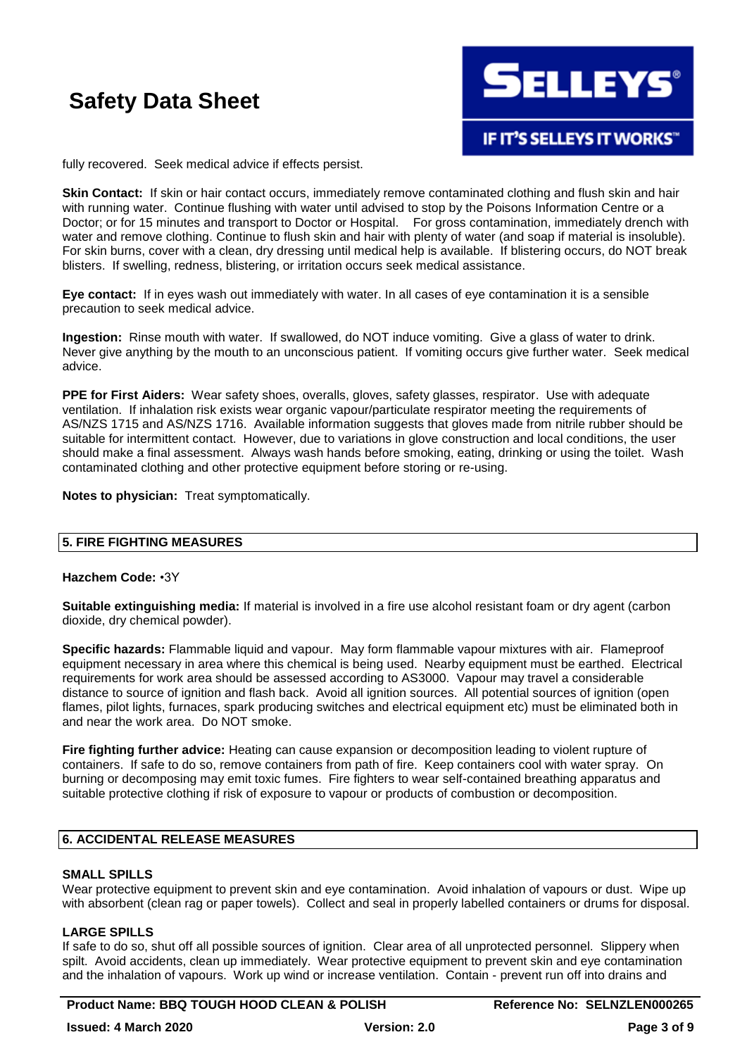

**IF IT'S SELLEYS IT WORKS"** 

fully recovered. Seek medical advice if effects persist.

**Skin Contact:** If skin or hair contact occurs, immediately remove contaminated clothing and flush skin and hair with running water. Continue flushing with water until advised to stop by the Poisons Information Centre or a Doctor; or for 15 minutes and transport to Doctor or Hospital. For gross contamination, immediately drench with water and remove clothing. Continue to flush skin and hair with plenty of water (and soap if material is insoluble). For skin burns, cover with a clean, dry dressing until medical help is available. If blistering occurs, do NOT break blisters. If swelling, redness, blistering, or irritation occurs seek medical assistance.

**Eye contact:** If in eyes wash out immediately with water. In all cases of eye contamination it is a sensible precaution to seek medical advice.

**Ingestion:** Rinse mouth with water. If swallowed, do NOT induce vomiting. Give a glass of water to drink. Never give anything by the mouth to an unconscious patient. If vomiting occurs give further water. Seek medical advice.

**PPE for First Aiders:** Wear safety shoes, overalls, gloves, safety glasses, respirator. Use with adequate ventilation. If inhalation risk exists wear organic vapour/particulate respirator meeting the requirements of AS/NZS 1715 and AS/NZS 1716. Available information suggests that gloves made from nitrile rubber should be suitable for intermittent contact. However, due to variations in glove construction and local conditions, the user should make a final assessment. Always wash hands before smoking, eating, drinking or using the toilet. Wash contaminated clothing and other protective equipment before storing or re-using.

**Notes to physician:** Treat symptomatically.

#### **5. FIRE FIGHTING MEASURES**

#### **Hazchem Code:** •3Y

**Suitable extinguishing media:** If material is involved in a fire use alcohol resistant foam or dry agent (carbon dioxide, dry chemical powder).

**Specific hazards:** Flammable liquid and vapour. May form flammable vapour mixtures with air. Flameproof equipment necessary in area where this chemical is being used. Nearby equipment must be earthed. Electrical requirements for work area should be assessed according to AS3000. Vapour may travel a considerable distance to source of ignition and flash back. Avoid all ignition sources. All potential sources of ignition (open flames, pilot lights, furnaces, spark producing switches and electrical equipment etc) must be eliminated both in and near the work area. Do NOT smoke.

**Fire fighting further advice:** Heating can cause expansion or decomposition leading to violent rupture of containers. If safe to do so, remove containers from path of fire. Keep containers cool with water spray. On burning or decomposing may emit toxic fumes. Fire fighters to wear self-contained breathing apparatus and suitable protective clothing if risk of exposure to vapour or products of combustion or decomposition.

#### **6. ACCIDENTAL RELEASE MEASURES**

#### **SMALL SPILLS**

Wear protective equipment to prevent skin and eye contamination. Avoid inhalation of vapours or dust. Wipe up with absorbent (clean rag or paper towels). Collect and seal in properly labelled containers or drums for disposal.

#### **LARGE SPILLS**

If safe to do so, shut off all possible sources of ignition. Clear area of all unprotected personnel. Slippery when spilt. Avoid accidents, clean up immediately. Wear protective equipment to prevent skin and eye contamination and the inhalation of vapours. Work up wind or increase ventilation. Contain - prevent run off into drains and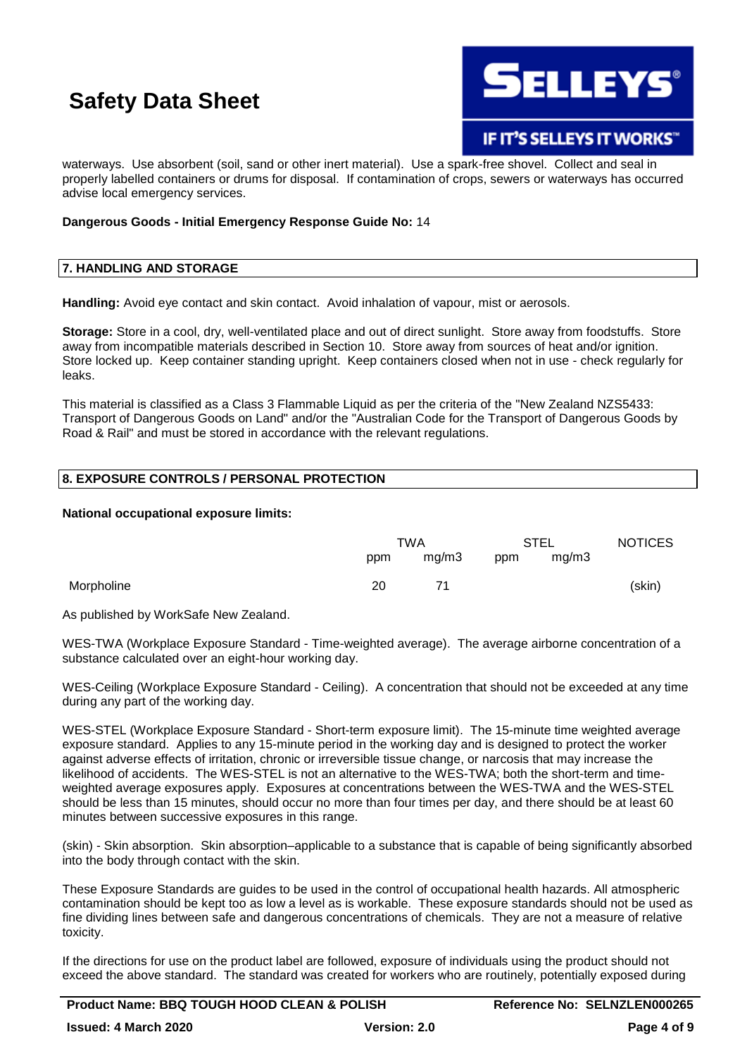

### **IF IT'S SELLEYS IT WORKS"**

waterways. Use absorbent (soil, sand or other inert material). Use a spark-free shovel. Collect and seal in properly labelled containers or drums for disposal. If contamination of crops, sewers or waterways has occurred advise local emergency services.

#### **Dangerous Goods - Initial Emergency Response Guide No:** 14

#### **7. HANDLING AND STORAGE**

**Handling:** Avoid eye contact and skin contact. Avoid inhalation of vapour, mist or aerosols.

**Storage:** Store in a cool, dry, well-ventilated place and out of direct sunlight. Store away from foodstuffs. Store away from incompatible materials described in Section 10. Store away from sources of heat and/or ignition. Store locked up. Keep container standing upright. Keep containers closed when not in use - check regularly for leaks.

This material is classified as a Class 3 Flammable Liquid as per the criteria of the "New Zealand NZS5433: Transport of Dangerous Goods on Land" and/or the "Australian Code for the Transport of Dangerous Goods by Road & Rail" and must be stored in accordance with the relevant regulations.

#### **8. EXPOSURE CONTROLS / PERSONAL PROTECTION**

#### **National occupational exposure limits:**

|            | TWA |       | STEL |       | <b>NOTICES</b> |
|------------|-----|-------|------|-------|----------------|
|            | ppm | mg/m3 | ppm  | mg/m3 |                |
| Morpholine | 20  | 71    |      |       | (skin)         |

As published by WorkSafe New Zealand.

WES-TWA (Workplace Exposure Standard - Time-weighted average). The average airborne concentration of a substance calculated over an eight-hour working day.

WES-Ceiling (Workplace Exposure Standard - Ceiling). A concentration that should not be exceeded at any time during any part of the working day.

WES-STEL (Workplace Exposure Standard - Short-term exposure limit). The 15-minute time weighted average exposure standard. Applies to any 15-minute period in the working day and is designed to protect the worker against adverse effects of irritation, chronic or irreversible tissue change, or narcosis that may increase the likelihood of accidents. The WES-STEL is not an alternative to the WES-TWA; both the short-term and timeweighted average exposures apply. Exposures at concentrations between the WES-TWA and the WES-STEL should be less than 15 minutes, should occur no more than four times per day, and there should be at least 60 minutes between successive exposures in this range.

(skin) - Skin absorption. Skin absorption–applicable to a substance that is capable of being significantly absorbed into the body through contact with the skin.

These Exposure Standards are guides to be used in the control of occupational health hazards. All atmospheric contamination should be kept too as low a level as is workable. These exposure standards should not be used as fine dividing lines between safe and dangerous concentrations of chemicals. They are not a measure of relative toxicity.

If the directions for use on the product label are followed, exposure of individuals using the product should not exceed the above standard. The standard was created for workers who are routinely, potentially exposed during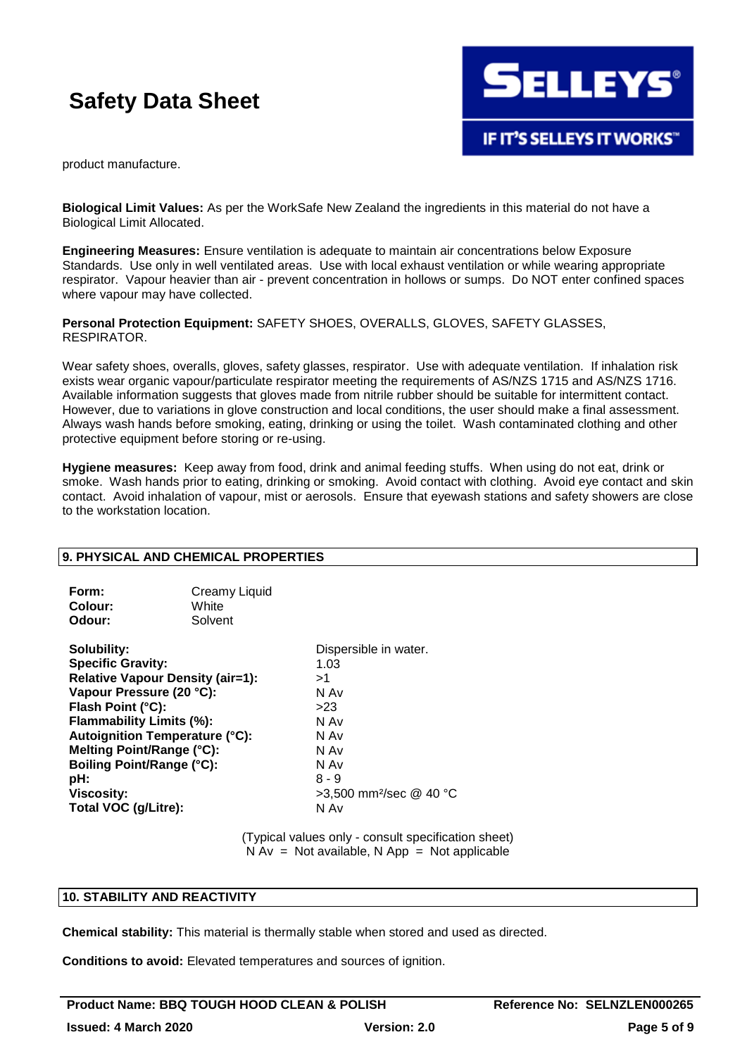

product manufacture.

**Biological Limit Values:** As per the WorkSafe New Zealand the ingredients in this material do not have a Biological Limit Allocated.

**Engineering Measures:** Ensure ventilation is adequate to maintain air concentrations below Exposure Standards. Use only in well ventilated areas. Use with local exhaust ventilation or while wearing appropriate respirator. Vapour heavier than air - prevent concentration in hollows or sumps. Do NOT enter confined spaces where vapour may have collected.

#### **Personal Protection Equipment:** SAFETY SHOES, OVERALLS, GLOVES, SAFETY GLASSES, RESPIRATOR.

Wear safety shoes, overalls, gloves, safety glasses, respirator. Use with adequate ventilation. If inhalation risk exists wear organic vapour/particulate respirator meeting the requirements of AS/NZS 1715 and AS/NZS 1716. Available information suggests that gloves made from nitrile rubber should be suitable for intermittent contact. However, due to variations in glove construction and local conditions, the user should make a final assessment. Always wash hands before smoking, eating, drinking or using the toilet. Wash contaminated clothing and other protective equipment before storing or re-using.

**Hygiene measures:** Keep away from food, drink and animal feeding stuffs. When using do not eat, drink or smoke. Wash hands prior to eating, drinking or smoking. Avoid contact with clothing. Avoid eye contact and skin contact. Avoid inhalation of vapour, mist or aerosols. Ensure that eyewash stations and safety showers are close to the workstation location.

#### **9. PHYSICAL AND CHEMICAL PROPERTIES**

| Form:   | Creamy Liquid |
|---------|---------------|
| Colour: | White         |
| Odour:  | Solvent       |

**Solubility:** Dispersible in water. **Specific Gravity:** 1.03 **Relative Vapour Density (air=1):** >1 **Vapour Pressure (20 °C):** N Av **Flash Point (°C):** >23 **Flammability Limits (%):** N Av **Autoignition Temperature (°C):** N Av **Melting Point/Range (°C):** N Av **Boiling Point/Range (°C):**<br> **pH:** 8 - 9 **pH:** 8 - 9 **Viscosity:**  $>3.500$  mm<sup>2</sup>/sec @ 40 °C **Total VOC (g/Litre):** N Av

(Typical values only - consult specification sheet)  $N Av = Not available, N App = Not applicable$ 

#### **10. STABILITY AND REACTIVITY**

**Chemical stability:** This material is thermally stable when stored and used as directed.

**Conditions to avoid:** Elevated temperatures and sources of ignition.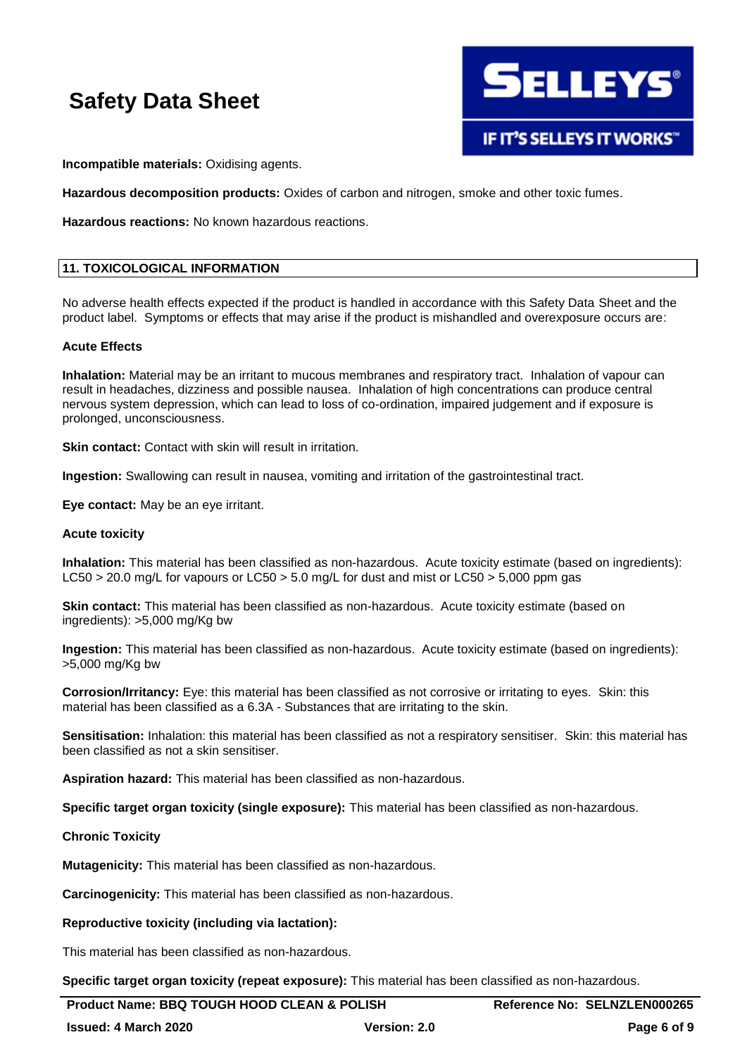

**Incompatible materials:** Oxidising agents.

**Hazardous decomposition products:** Oxides of carbon and nitrogen, smoke and other toxic fumes.

**Hazardous reactions:** No known hazardous reactions.

#### **11. TOXICOLOGICAL INFORMATION**

No adverse health effects expected if the product is handled in accordance with this Safety Data Sheet and the product label. Symptoms or effects that may arise if the product is mishandled and overexposure occurs are:

#### **Acute Effects**

**Inhalation:** Material may be an irritant to mucous membranes and respiratory tract. Inhalation of vapour can result in headaches, dizziness and possible nausea. Inhalation of high concentrations can produce central nervous system depression, which can lead to loss of co-ordination, impaired judgement and if exposure is prolonged, unconsciousness.

**Skin contact:** Contact with skin will result in irritation.

**Ingestion:** Swallowing can result in nausea, vomiting and irritation of the gastrointestinal tract.

**Eye contact:** May be an eye irritant.

#### **Acute toxicity**

**Inhalation:** This material has been classified as non-hazardous. Acute toxicity estimate (based on ingredients): LC50 > 20.0 mg/L for vapours or LC50 > 5.0 mg/L for dust and mist or LC50 > 5,000 ppm gas

**Skin contact:** This material has been classified as non-hazardous. Acute toxicity estimate (based on ingredients): >5,000 mg/Kg bw

**Ingestion:** This material has been classified as non-hazardous. Acute toxicity estimate (based on ingredients): >5,000 mg/Kg bw

**Corrosion/Irritancy:** Eye: this material has been classified as not corrosive or irritating to eyes. Skin: this material has been classified as a 6.3A - Substances that are irritating to the skin.

**Sensitisation:** Inhalation: this material has been classified as not a respiratory sensitiser. Skin: this material has been classified as not a skin sensitiser.

**Aspiration hazard:** This material has been classified as non-hazardous.

**Specific target organ toxicity (single exposure):** This material has been classified as non-hazardous.

#### **Chronic Toxicity**

**Mutagenicity:** This material has been classified as non-hazardous.

**Carcinogenicity:** This material has been classified as non-hazardous.

#### **Reproductive toxicity (including via lactation):**

This material has been classified as non-hazardous.

**Specific target organ toxicity (repeat exposure):** This material has been classified as non-hazardous.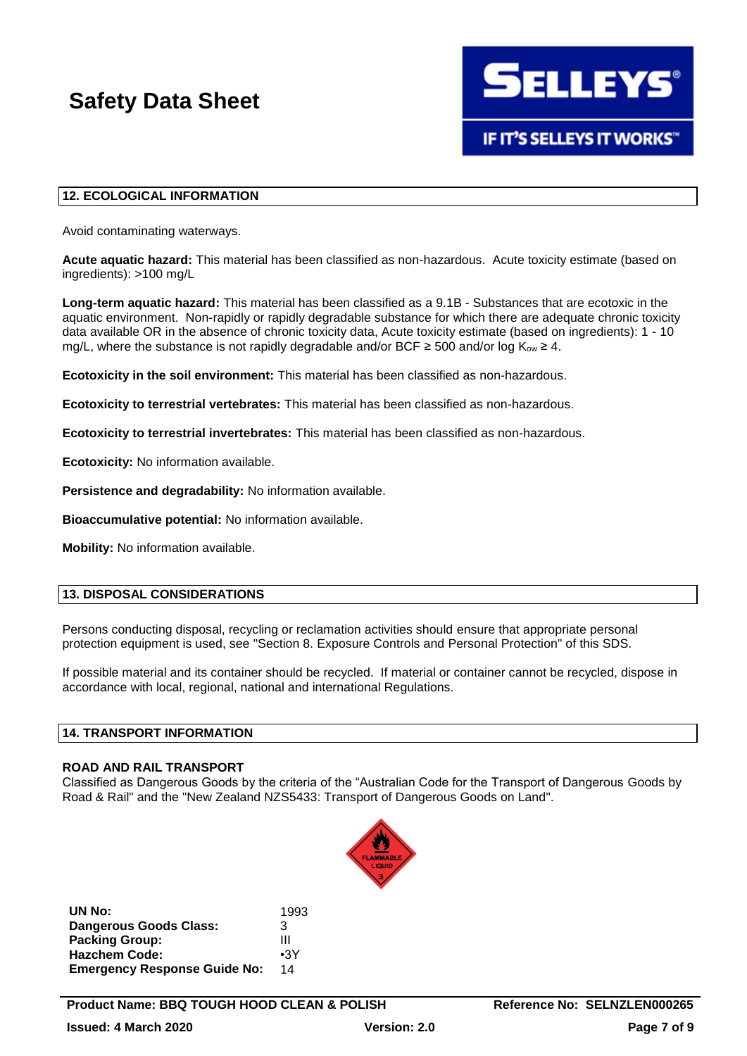#### **12. ECOLOGICAL INFORMATION**

Avoid contaminating waterways.

**Acute aquatic hazard:** This material has been classified as non-hazardous. Acute toxicity estimate (based on ingredients): >100 mg/L

**Long-term aquatic hazard:** This material has been classified as a 9.1B - Substances that are ecotoxic in the aquatic environment. Non-rapidly or rapidly degradable substance for which there are adequate chronic toxicity data available OR in the absence of chronic toxicity data, Acute toxicity estimate (based on ingredients): 1 - 10 mg/L, where the substance is not rapidly degradable and/or BCF  $\geq$  500 and/or log K<sub>ow</sub>  $\geq$  4.

**Ecotoxicity in the soil environment:** This material has been classified as non-hazardous.

**Ecotoxicity to terrestrial vertebrates:** This material has been classified as non-hazardous.

**Ecotoxicity to terrestrial invertebrates:** This material has been classified as non-hazardous.

**Ecotoxicity:** No information available.

**Persistence and degradability:** No information available.

**Bioaccumulative potential:** No information available.

**Mobility:** No information available.

#### **13. DISPOSAL CONSIDERATIONS**

Persons conducting disposal, recycling or reclamation activities should ensure that appropriate personal protection equipment is used, see "Section 8. Exposure Controls and Personal Protection" of this SDS.

If possible material and its container should be recycled. If material or container cannot be recycled, dispose in accordance with local, regional, national and international Regulations.

#### **14. TRANSPORT INFORMATION**

#### **ROAD AND RAIL TRANSPORT**

Classified as Dangerous Goods by the criteria of the "Australian Code for the Transport of Dangerous Goods by Road & Rail" and the "New Zealand NZS5433: Transport of Dangerous Goods on Land".



**UN No:** 1993 **Dangerous Goods Class:** 3 **Packing Group:** III **Hazchem Code:** •3Y **Emergency Response Guide No:** 14

**ELLEYS** 

**IF IT'S SELLEYS IT WORKS"**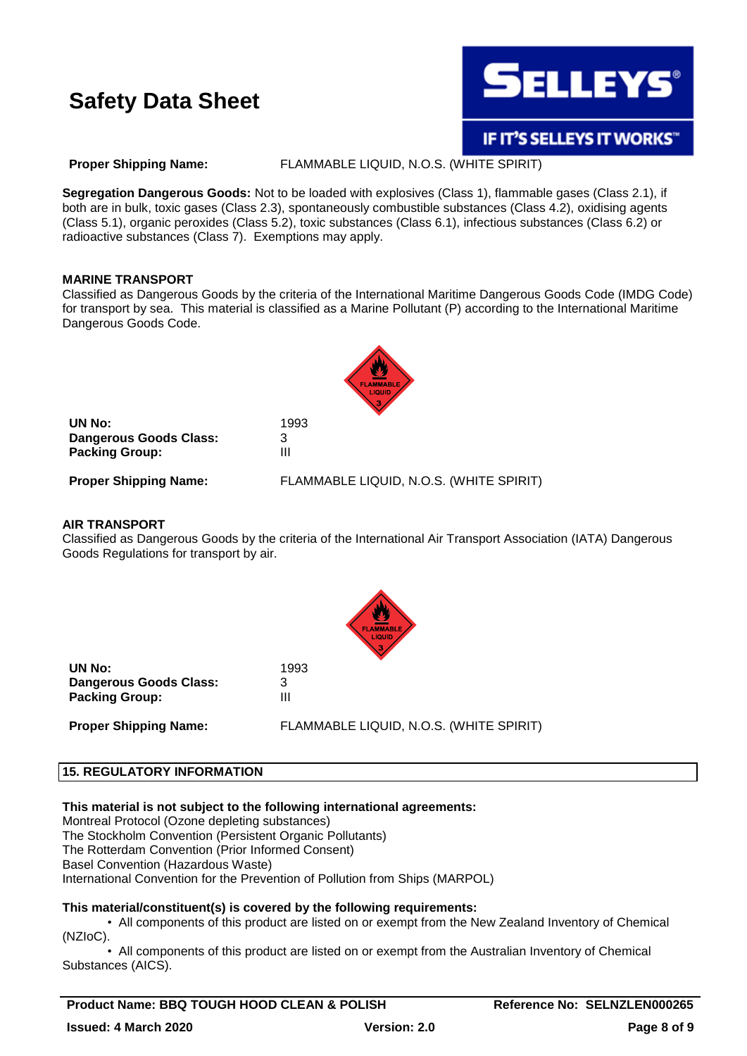

**Proper Shipping Name:** FLAMMABLE LIQUID, N.O.S. (WHITE SPIRIT)

**Segregation Dangerous Goods:** Not to be loaded with explosives (Class 1), flammable gases (Class 2.1), if both are in bulk, toxic gases (Class 2.3), spontaneously combustible substances (Class 4.2), oxidising agents (Class 5.1), organic peroxides (Class 5.2), toxic substances (Class 6.1), infectious substances (Class 6.2) or radioactive substances (Class 7). Exemptions may apply.

#### **MARINE TRANSPORT**

Classified as Dangerous Goods by the criteria of the International Maritime Dangerous Goods Code (IMDG Code) for transport by sea. This material is classified as a Marine Pollutant (P) according to the International Maritime Dangerous Goods Code.



**UN No:** 1993 **Dangerous Goods Class:** 3 **Packing Group:** III

**Proper Shipping Name:** FLAMMABLE LIQUID, N.O.S. (WHITE SPIRIT)

### **AIR TRANSPORT**

Classified as Dangerous Goods by the criteria of the International Air Transport Association (IATA) Dangerous Goods Regulations for transport by air.



**UN No:** 1993 **Dangerous Goods Class:** 3 **Packing Group:** III **Proper Shipping Name:** FLAMMABLE LIQUID, N.O.S. (WHITE SPIRIT)

#### **15. REGULATORY INFORMATION**

#### **This material is not subject to the following international agreements:**

Montreal Protocol (Ozone depleting substances)

The Stockholm Convention (Persistent Organic Pollutants)

The Rotterdam Convention (Prior Informed Consent)

Basel Convention (Hazardous Waste)

International Convention for the Prevention of Pollution from Ships (MARPOL)

#### **This material/constituent(s) is covered by the following requirements:**

• All components of this product are listed on or exempt from the New Zealand Inventory of Chemical (NZIoC).

• All components of this product are listed on or exempt from the Australian Inventory of Chemical Substances (AICS).

**Product Name: BBQ TOUGH HOOD CLEAN & POLISH Reference No: SELNZLEN000265**